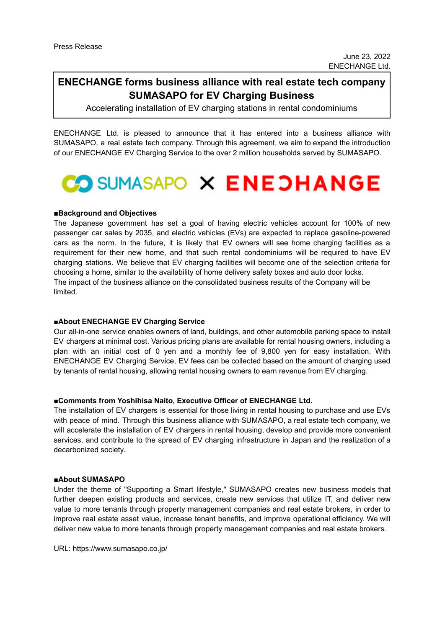# **ENECHANGE forms business alliance with real estate tech company SUMASAPO for EV Charging Business**

Accelerating installation of EV charging stations in rental condominiums

ENECHANGE Ltd. is pleased to announce that it has entered into a business alliance with SUMASAPO, a real estate tech company. Through this agreement, we aim to expand the introduction of our ENECHANGE EV Charging Service to the over 2 million households served by SUMASAPO.



## **■Background and Objectives**

The Japanese government has set a goal of having electric vehicles account for 100% of new passenger car sales by 2035, and electric vehicles (EVs) are expected to replace gasoline-powered cars as the norm. In the future, it is likely that EV owners will see home charging facilities as a requirement for their new home, and that such rental condominiums will be required to have EV charging stations. We believe that EV charging facilities will become one of the selection criteria for choosing a home, similar to the availability of home delivery safety boxes and auto door locks. The impact of the business alliance on the consolidated business results of the Company will be limited.

## **■About ENECHANGE EV Charging Service**

Our all-in-one service enables owners of land, buildings, and other automobile parking space to install EV chargers at minimal cost. Various pricing plans are available for rental housing owners, including a plan with an initial cost of 0 yen and a monthly fee of 9,800 yen for easy installation. With ENECHANGE EV Charging Service, EV fees can be collected based on the amount of charging used by tenants of rental housing, allowing rental housing owners to earn revenue from EV charging.

#### **■Comments from Yoshihisa Naito, Executive Officer of ENECHANGE Ltd.**

The installation of EV chargers is essential for those living in rental housing to purchase and use EVs with peace of mind. Through this business alliance with SUMASAPO, a real estate tech company, we will accelerate the installation of EV chargers in rental housing, develop and provide more convenient services, and contribute to the spread of EV charging infrastructure in Japan and the realization of a decarbonized society.

#### **■About SUMASAPO**

Under the theme of "Supporting a Smart lifestyle," SUMASAPO creates new business models that further deepen existing products and services, create new services that utilize IT, and deliver new value to more tenants through property management companies and real estate brokers, in order to improve real estate asset value, increase tenant benefits, and improve operational efficiency. We will deliver new value to more tenants through property management companies and real estate brokers.

URL: https://www.sumasapo.co.jp/